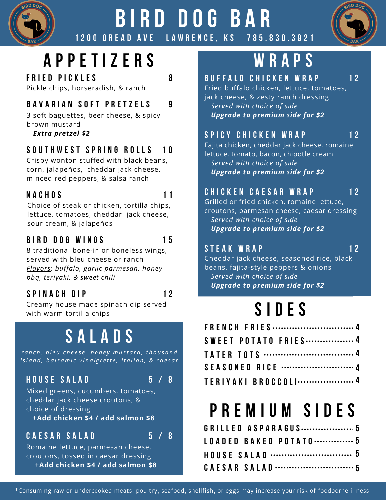

### **B I R D D OG B A R** 1200 OREAD AVE LAWRENCE, KS



**1 2**

# **A P P E T I Z E R S**

**F R I E D P I C K L E S** Pickle chips, horseradish, & ranch

### **B A V A R I A N S O F T P R E T Z E L S**

3 soft baguettes, beer cheese, & spicy brown mustard

*Extra pretzel \$2*

#### **S O U T H W E S T S P R I N G R O L L S 1 0**

Crispy wonton stuffed with black beans, corn, jalapeños, cheddar jack cheese, minced red peppers, & salsa ranch

### **N A C H O S**

**1 1**

**8**

**9**

Choice of steak or chicken, tortilla chips, lettuce, tomatoes, cheddar jack cheese, sour cream, & jalapeños

### **B I R D D O G W I N G S**

**1 5**

8 traditional bone-in or boneless wings, served with bleu cheese or ranch *Flavors: buffalo, garlic parmesan, honey bbq, teriyaki, & sweet chili*

### **S P I N A C H D I P**



Creamy house made spinach dip served with warm tortilla chips

## **S A L A D S**

ranch, bleu cheese, honey mustard, thousand island, balsamic vinaigrette, Italian, & caesar

### **H O U S E S A L A D**

**5 / 8**

Mixed greens, cucumbers, tomatoes, cheddar jack cheese croutons, & choice of dressing **+Add chicken \$4 / add salmon \$8**

### **C A E S A R S A L A D**

**5 / 8**

Romaine lettuce, parmesan cheese, croutons, tossed in caesar dressing **+Add chicken \$4 / add salmon \$8**

# **W R A P S**

### **B U F F A L O C H I C K E N W R A P**

Fried buffalo chicken, lettuce, tomatoes, jack cheese, & zesty ranch dressing *Served with choice of side Upgrade to premium side for \$2*

### **S P I C Y C H I C K E N W R A P**

**1 2**

Fajita chicken, cheddar jack cheese, romaine lettuce, tomato, bacon, chipotle cream *Served with choice of side Upgrade to premium side for \$2*

### **C H I C K E N C A E S A R W R A P**

Grilled or fried chicken, romaine lettuce, croutons, parmesan cheese, caesar dressing *Served with choice of side Upgrade to premium side for \$2*

#### **S T E A K W R A P**

**1 2**

**1 2**

Cheddar jack cheese, seasoned rice, black beans, fajita-style peppers & onions *Served with choice of side Upgrade to premium side for \$2*

# **S I D E S**

| FRENCH FRIES4              |  |
|----------------------------|--|
| <b>SWEET POTATO FRIES4</b> |  |
|                            |  |
|                            |  |
| TERIYAKI BROCCOLI4         |  |

## **P R E M I U M S I D E S**

|  |  | GRILLED ASPARAGUS5        |  |  |  |  |  |  |  |  |
|--|--|---------------------------|--|--|--|--|--|--|--|--|
|  |  | LOADED BAKED POTATO……………5 |  |  |  |  |  |  |  |  |
|  |  |                           |  |  |  |  |  |  |  |  |
|  |  |                           |  |  |  |  |  |  |  |  |

\*Consuming raw or undercooked meats, poultry, seafood, shellfish, or eggs may increase your risk of foodborne illness.